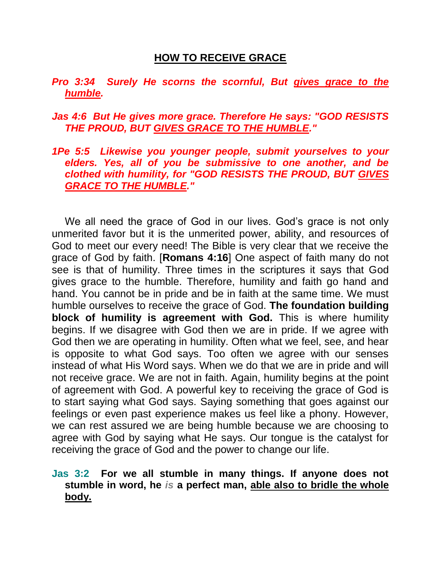# **HOW TO RECEIVE GRACE**

# *Pro 3:34 Surely He scorns the scornful, But gives grace to the humble.*

## *Jas 4:6 But He gives more grace. Therefore He says: "GOD RESISTS THE PROUD, BUT GIVES GRACE TO THE HUMBLE."*

### *1Pe 5:5 Likewise you younger people, submit yourselves to your elders. Yes, all of you be submissive to one another, and be clothed with humility, for "GOD RESISTS THE PROUD, BUT GIVES GRACE TO THE HUMBLE."*

We all need the grace of God in our lives. God's grace is not only unmerited favor but it is the unmerited power, ability, and resources of God to meet our every need! The Bible is very clear that we receive the grace of God by faith. [**Romans 4:16**] One aspect of faith many do not see is that of humility. Three times in the scriptures it says that God gives grace to the humble. Therefore, humility and faith go hand and hand. You cannot be in pride and be in faith at the same time. We must humble ourselves to receive the grace of God. **The foundation building block of humility is agreement with God.** This is where humility begins. If we disagree with God then we are in pride. If we agree with God then we are operating in humility. Often what we feel, see, and hear is opposite to what God says. Too often we agree with our senses instead of what His Word says. When we do that we are in pride and will not receive grace. We are not in faith. Again, humility begins at the point of agreement with God. A powerful key to receiving the grace of God is to start saying what God says. Saying something that goes against our feelings or even past experience makes us feel like a phony. However, we can rest assured we are being humble because we are choosing to agree with God by saying what He says. Our tongue is the catalyst for receiving the grace of God and the power to change our life.

## **Jas 3:2 For we all stumble in many things. If anyone does not stumble in word, he** *is* **a perfect man, able also to bridle the whole body.**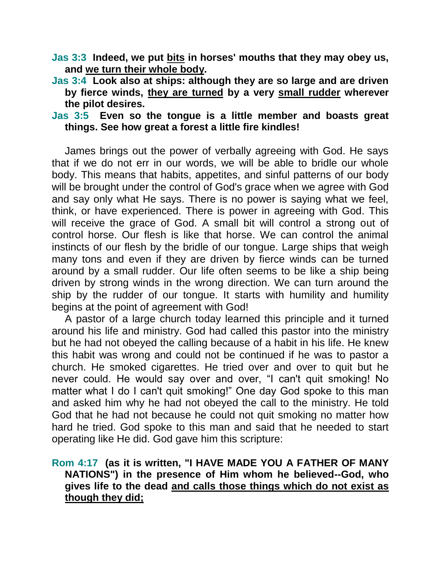- **Jas 3:3 Indeed, we put bits in horses' mouths that they may obey us, and we turn their whole body.**
- **Jas 3:4 Look also at ships: although they are so large and are driven by fierce winds, they are turned by a very small rudder wherever the pilot desires.**

## **Jas 3:5 Even so the tongue is a little member and boasts great things. See how great a forest a little fire kindles!**

James brings out the power of verbally agreeing with God. He says that if we do not err in our words, we will be able to bridle our whole body. This means that habits, appetites, and sinful patterns of our body will be brought under the control of God's grace when we agree with God and say only what He says. There is no power is saying what we feel, think, or have experienced. There is power in agreeing with God. This will receive the grace of God. A small bit will control a strong out of control horse. Our flesh is like that horse. We can control the animal instincts of our flesh by the bridle of our tongue. Large ships that weigh many tons and even if they are driven by fierce winds can be turned around by a small rudder. Our life often seems to be like a ship being driven by strong winds in the wrong direction. We can turn around the ship by the rudder of our tongue. It starts with humility and humility begins at the point of agreement with God!

A pastor of a large church today learned this principle and it turned around his life and ministry. God had called this pastor into the ministry but he had not obeyed the calling because of a habit in his life. He knew this habit was wrong and could not be continued if he was to pastor a church. He smoked cigarettes. He tried over and over to quit but he never could. He would say over and over, "I can't quit smoking! No matter what I do I can't quit smoking!" One day God spoke to this man and asked him why he had not obeyed the call to the ministry. He told God that he had not because he could not quit smoking no matter how hard he tried. God spoke to this man and said that he needed to start operating like He did. God gave him this scripture:

# **Rom 4:17 (as it is written, "I HAVE MADE YOU A FATHER OF MANY NATIONS") in the presence of Him whom he believed--God, who gives life to the dead and calls those things which do not exist as though they did;**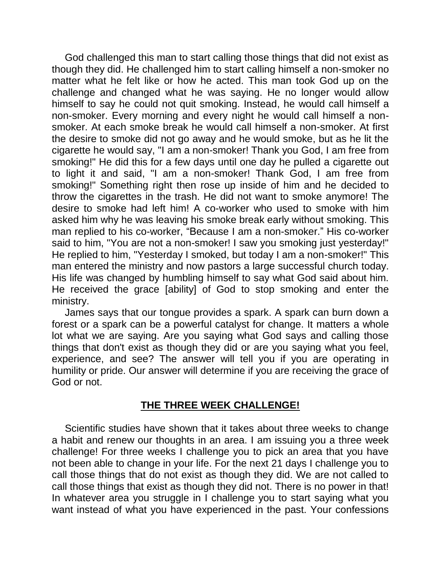God challenged this man to start calling those things that did not exist as though they did. He challenged him to start calling himself a non-smoker no matter what he felt like or how he acted. This man took God up on the challenge and changed what he was saying. He no longer would allow himself to say he could not quit smoking. Instead, he would call himself a non-smoker. Every morning and every night he would call himself a nonsmoker. At each smoke break he would call himself a non-smoker. At first the desire to smoke did not go away and he would smoke, but as he lit the cigarette he would say, "I am a non-smoker! Thank you God, I am free from smoking!" He did this for a few days until one day he pulled a cigarette out to light it and said, "I am a non-smoker! Thank God, I am free from smoking!" Something right then rose up inside of him and he decided to throw the cigarettes in the trash. He did not want to smoke anymore! The desire to smoke had left him! A co-worker who used to smoke with him asked him why he was leaving his smoke break early without smoking. This man replied to his co-worker, "Because I am a non-smoker." His co-worker said to him, "You are not a non-smoker! I saw you smoking just yesterday!" He replied to him, "Yesterday I smoked, but today I am a non-smoker!" This man entered the ministry and now pastors a large successful church today. His life was changed by humbling himself to say what God said about him. He received the grace [ability] of God to stop smoking and enter the ministry.

James says that our tongue provides a spark. A spark can burn down a forest or a spark can be a powerful catalyst for change. It matters a whole lot what we are saying. Are you saying what God says and calling those things that don't exist as though they did or are you saying what you feel, experience, and see? The answer will tell you if you are operating in humility or pride. Our answer will determine if you are receiving the grace of God or not.

# **THE THREE WEEK CHALLENGE!**

Scientific studies have shown that it takes about three weeks to change a habit and renew our thoughts in an area. I am issuing you a three week challenge! For three weeks I challenge you to pick an area that you have not been able to change in your life. For the next 21 days I challenge you to call those things that do not exist as though they did. We are not called to call those things that exist as though they did not. There is no power in that! In whatever area you struggle in I challenge you to start saying what you want instead of what you have experienced in the past. Your confessions